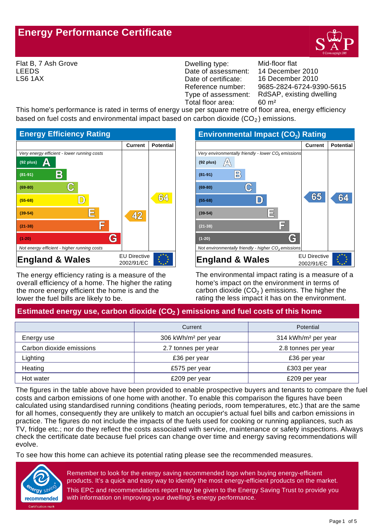# **Energy Performance Certificate**



Flat B, 7 Ash Grove LEEDS LS6 1AX

Dwelling type: Mid-floor flat Date of assessment: Date of certificate: Reference number:<br>Type of assessment: Total floor area: 60 m²

9685-2824-6724-9390-5615 16 December 2010 14 December 2010 RdSAP, existing dwelling

This home's performance is rated in terms of energy use per square metre of floor area, energy efficiency based on fuel costs and environmental impact based on carbon dioxide  $(CO<sub>2</sub>)$  emissions.



The energy efficiency rating is a measure of the overall efficiency of a home. The higher the rating the more energy efficient the home is and the lower the fuel bills are likely to be.

| <b>Environmental Impact (CO<sub>2</sub>) Rating</b>             |                     |                  |  |
|-----------------------------------------------------------------|---------------------|------------------|--|
|                                                                 | <b>Current</b>      | <b>Potential</b> |  |
| Very environmentally friendly - lower CO <sub>2</sub> emissions |                     |                  |  |
| $(92$ plus)                                                     |                     |                  |  |
| $\mathsf{B}$<br>$(81 - 91)$                                     |                     |                  |  |
| $(69-80)$                                                       |                     |                  |  |
| $(55-68)$                                                       | (ಕೃಕ್ರ              |                  |  |
| $(39-54)$                                                       |                     |                  |  |
| $(21-38)$                                                       |                     |                  |  |
| C<br>$(1-20)$                                                   |                     |                  |  |
| Not environmentally friendly - higher CO <sub>2</sub> emissions |                     |                  |  |
| <b>England &amp; Wales</b>                                      | <b>EU Directive</b> |                  |  |
|                                                                 | 2002/91/EC          |                  |  |

The environmental impact rating is a measure of a home's impact on the environment in terms of carbon dioxide (CO $_2$  ) emissions. The higher the rating the less impact it has on the environment.

# Estimated energy use, carbon dioxide (CO<sub>2</sub>) emissions and fuel costs of this home

|                          | Current                         | Potential                       |
|--------------------------|---------------------------------|---------------------------------|
| Energy use               | 306 kWh/m <sup>2</sup> per year | 314 kWh/m <sup>2</sup> per year |
| Carbon dioxide emissions | 2.7 tonnes per year             | 2.8 tonnes per year             |
| Lighting                 | £36 per year                    | £36 per year                    |
| Heating                  | £575 per year                   | £303 per year                   |
| Hot water                | £209 per year                   | £209 per year                   |

The figures in the table above have been provided to enable prospective buyers and tenants to compare the fuel costs and carbon emissions of one home with another. To enable this comparison the figures have been calculated using standardised running conditions (heating periods, room temperatures, etc.) that are the same for all homes, consequently they are unlikely to match an occupier's actual fuel bills and carbon emissions in practice. The figures do not include the impacts of the fuels used for cooking or running appliances, such as TV, fridge etc.; nor do they reflect the costs associated with service, maintenance or safety inspections. Always check the certificate date because fuel prices can change over time and energy saving recommendations will evolve.

To see how this home can achieve its potential rating please see the recommended measures.



Remember to look for the energy saving recommended logo when buying energy-efficient products. It's a quick and easy way to identify the most energy-efficient products on the market. This EPC and recommendations report may be given to the Energy Saving Trust to provide you with information on improving your dwelling's energy performance.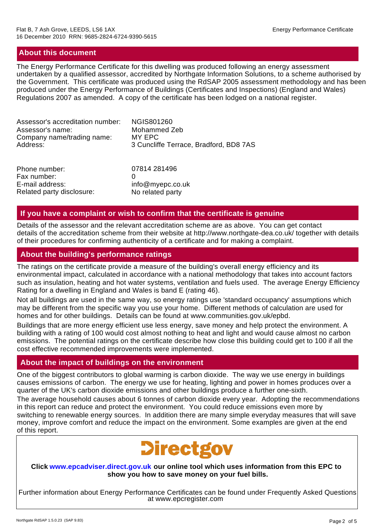# **About this document**

The Energy Performance Certificate for this dwelling was produced following an energy assessment undertaken by a qualified assessor, accredited by Northgate Information Solutions, to a scheme authorised by the Government. This certificate was produced using the RdSAP 2005 assessment methodology and has been produced under the Energy Performance of Buildings (Certificates and Inspections) (England and Wales) Regulations 2007 as amended. A copy of the certificate has been lodged on a national register.

| Assessor's accreditation number:                | <b>NGIS801260</b>                      |
|-------------------------------------------------|----------------------------------------|
| Assessor's name:                                | Mohammed Zeb                           |
| Company name/trading name:                      | MY EPC                                 |
| Address:                                        | 3 Cuncliffe Terrace, Bradford, BD8 7AS |
| Phone number:<br>Fax number:<br>E-mail address: | 07814 281496<br>info@myepc.co.uk       |

### **If you have a complaint or wish to confirm that the certificate is genuine**

Details of the assessor and the relevant accreditation scheme are as above. You can get contact details of the accreditation scheme from their website at http://www.northgate-dea.co.uk/ together with details of their procedures for confirming authenticity of a certificate and for making a complaint.

# **About the building's performance ratings**

Related party disclosure: No related party

The ratings on the certificate provide a measure of the building's overall energy efficiency and its environmental impact, calculated in accordance with a national methodology that takes into account factors such as insulation, heating and hot water systems, ventilation and fuels used. The average Energy Efficiency Rating for a dwelling in England and Wales is band E (rating 46).

Not all buildings are used in the same way, so energy ratings use 'standard occupancy' assumptions which may be different from the specific way you use your home. Different methods of calculation are used for homes and for other buildings. Details can be found at www.communities.gov.uk/epbd.

Buildings that are more energy efficient use less energy, save money and help protect the environment. A building with a rating of 100 would cost almost nothing to heat and light and would cause almost no carbon emissions. The potential ratings on the certificate describe how close this building could get to 100 if all the cost effective recommended improvements were implemented.

### **About the impact of buildings on the environment**

One of the biggest contributors to global warming is carbon dioxide. The way we use energy in buildings causes emissions of carbon. The energy we use for heating, lighting and power in homes produces over a quarter of the UK's carbon dioxide emissions and other buildings produce a further one-sixth.

The average household causes about 6 tonnes of carbon dioxide every year. Adopting the recommendations in this report can reduce and protect the environment. You could reduce emissions even more by switching to renewable energy sources. In addition there are many simple everyday measures that will save money, improve comfort and reduce the impact on the environment. Some examples are given at the end of this report.



#### **Click www.epcadviser.direct.gov.uk our online tool which uses information from this EPC to show you how to save money on your fuel bills.**

Further information about Energy Performance Certificates can be found under Frequently Asked Questions at www.epcregister.com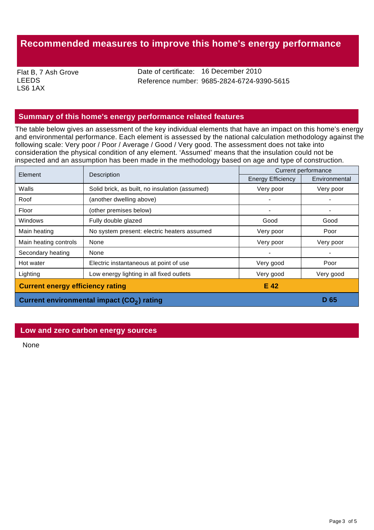# **Recommended measures to improve this home's energy performance**

Flat B, 7 Ash Grove LEEDS LS6 1AX

Date of certificate: 16 December 2010 Reference number: 9685-2824-6724-9390-5615

# **Summary of this home's energy performance related features**

The table below gives an assessment of the key individual elements that have an impact on this home's energy and environmental performance. Each element is assessed by the national calculation methodology against the following scale: Very poor / Poor / Average / Good / Very good. The assessment does not take into consideration the physical condition of any element. 'Assumed' means that the insulation could not be inspected and an assumption has been made in the methodology based on age and type of construction.

| Element                                                | Description                                    | Current performance      |               |
|--------------------------------------------------------|------------------------------------------------|--------------------------|---------------|
|                                                        |                                                | <b>Energy Efficiency</b> | Environmental |
| Walls                                                  | Solid brick, as built, no insulation (assumed) | Very poor                | Very poor     |
| Roof                                                   | (another dwelling above)                       |                          |               |
| Floor                                                  | (other premises below)                         |                          |               |
| Windows                                                | Fully double glazed                            | Good                     | Good          |
| Main heating                                           | No system present: electric heaters assumed    | Very poor                | Poor          |
| Main heating controls                                  | None                                           | Very poor                | Very poor     |
| Secondary heating                                      | None                                           |                          |               |
| Hot water                                              | Electric instantaneous at point of use         | Very good                | Poor          |
| Lighting                                               | Low energy lighting in all fixed outlets       | Very good                | Very good     |
| <b>Current energy efficiency rating</b><br>E 42        |                                                |                          |               |
| Current environmental impact (CO <sub>2</sub> ) rating |                                                |                          | D 65          |

#### **Low and zero carbon energy sources**

None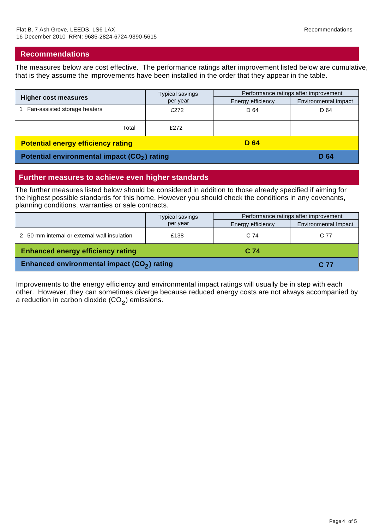### **Recommendations**

The measures below are cost effective. The performance ratings after improvement listed below are cumulative, that is they assume the improvements have been installed in the order that they appear in the table.

| <b>Higher cost measures</b>                              | <b>Typical savings</b> | Performance ratings after improvement |                      |
|----------------------------------------------------------|------------------------|---------------------------------------|----------------------|
|                                                          | per year               | Energy efficiency                     | Environmental impact |
| Fan-assisted storage heaters                             | £272                   | D 64                                  | D 64                 |
| Total                                                    | £272                   |                                       |                      |
| <b>Potential energy efficiency rating</b>                |                        | D 64                                  |                      |
| Potential environmental impact (CO <sub>2</sub> ) rating |                        |                                       | D 64                 |

### **Further measures to achieve even higher standards**

The further measures listed below should be considered in addition to those already specified if aiming for the highest possible standards for this home. However you should check the conditions in any covenants, planning conditions, warranties or sale contracts.

|                                              | <b>Typical savings</b> | Performance ratings after improvement |                             |
|----------------------------------------------|------------------------|---------------------------------------|-----------------------------|
|                                              | per year               | Energy efficiency                     | <b>Environmental Impact</b> |
| 2 50 mm internal or external wall insulation | £138                   | C 74                                  | C 77                        |
| <b>Enhanced energy efficiency rating</b>     |                        | C 74                                  |                             |
| Enhanced environmental impact $(CO2)$ rating |                        |                                       | C 77                        |

Improvements to the energy efficiency and environmental impact ratings will usually be in step with each other. However, they can sometimes diverge because reduced energy costs are not always accompanied by a reduction in carbon dioxide (CO $_{2}$ ) emissions.